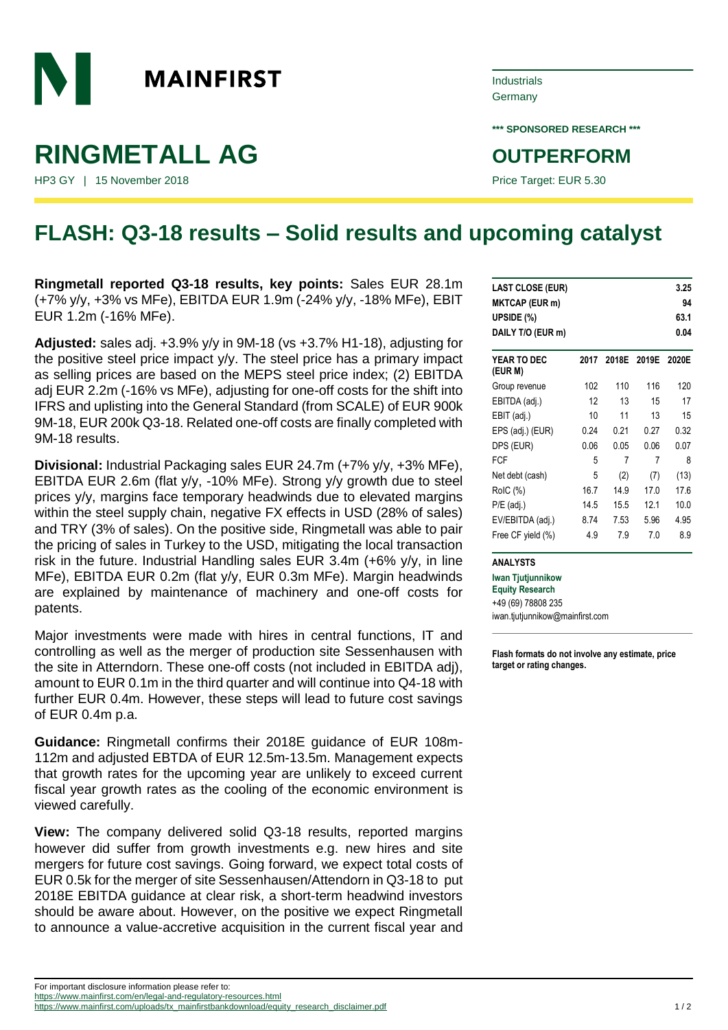

## **RINGMETALL AG OUTPERFORM**

HP3 GY | 15 November 2018 **Price Target: EUR 5.30** Price Target: EUR 5.30

## Industrials Germany

**\*\*\* SPONSORED RESEARCH \*\*\***

## **FLASH: Q3-18 results – Solid results and upcoming catalyst**

**Ringmetall reported Q3-18 results, key points:** Sales EUR 28.1m (+7% y/y, +3% vs MFe), EBITDA EUR 1.9m (-24% y/y, -18% MFe), EBIT EUR 1.2m (-16% MFe).

**Adjusted:** sales adj. +3.9% y/y in 9M-18 (vs +3.7% H1-18), adjusting for the positive steel price impact y/y. The steel price has a primary impact as selling prices are based on the MEPS steel price index; (2) EBITDA adj EUR 2.2m (-16% vs MFe), adjusting for one-off costs for the shift into IFRS and uplisting into the General Standard (from SCALE) of EUR 900k 9M-18, EUR 200k Q3-18. Related one-off costs are finally completed with 9M-18 results.

**Divisional:** Industrial Packaging sales EUR 24.7m (+7% y/y, +3% MFe), EBITDA EUR 2.6m (flat y/y, -10% MFe). Strong y/y growth due to steel prices y/y, margins face temporary headwinds due to elevated margins within the steel supply chain, negative FX effects in USD (28% of sales) and TRY (3% of sales). On the positive side, Ringmetall was able to pair the pricing of sales in Turkey to the USD, mitigating the local transaction risk in the future. Industrial Handling sales EUR 3.4m (+6% y/y, in line MFe), EBITDA EUR 0.2m (flat y/y, EUR 0.3m MFe). Margin headwinds are explained by maintenance of machinery and one-off costs for patents.

Major investments were made with hires in central functions, IT and controlling as well as the merger of production site Sessenhausen with the site in Atterndorn. These one-off costs (not included in EBITDA adj), amount to EUR 0.1m in the third quarter and will continue into Q4-18 with further EUR 0.4m. However, these steps will lead to future cost savings of EUR 0.4m p.a.

**Guidance:** Ringmetall confirms their 2018E guidance of EUR 108m-112m and adjusted EBTDA of EUR 12.5m-13.5m. Management expects that growth rates for the upcoming year are unlikely to exceed current fiscal year growth rates as the cooling of the economic environment is viewed carefully.

**View:** The company delivered solid Q3-18 results, reported margins however did suffer from growth investments e.g. new hires and site mergers for future cost savings. Going forward, we expect total costs of EUR 0.5k for the merger of site Sessenhausen/Attendorn in Q3-18 to put 2018E EBITDA guidance at clear risk, a short-term headwind investors should be aware about. However, on the positive we expect Ringmetall to announce a value-accretive acquisition in the current fiscal year and

| <b>LAST CLOSE (EUR)</b> |      |      |             | 3.25  |
|-------------------------|------|------|-------------|-------|
| <b>MKTCAP (EUR m)</b>   |      |      |             | 94    |
| UPSIDE (%)              |      |      |             | 63.1  |
| DAILY T/O (EUR m)       |      |      |             | 0.04  |
| YEAR TO DEC<br>(EUR M)  | 2017 |      | 2018E 2019E | 2020E |
| Group revenue           | 102  | 110  | 116         | 120   |
| EBITDA (adj.)           | 12   | 13   | 15          | 17    |
| EBIT (adj.)             | 10   | 11   | 13          | 15    |
| EPS (adj.) (EUR)        | 0.24 | 0.21 | 0.27        | 0.32  |
| DPS (EUR)               | 0.06 | 0.05 | 0.06        | 0.07  |
| <b>FCF</b>              | 5    | 7    | 7           | 8     |
| Net debt (cash)         | 5    | (2)  | (7)         | (13)  |
| RoIC (%)                | 16.7 | 14.9 | 17.0        | 17.6  |
| $P/E$ (adj.)            | 14.5 | 15.5 | 12.1        | 10.0  |
| EV/EBITDA (adj.)        | 8.74 | 7.53 | 5.96        | 4.95  |
| Free CF yield (%)       | 4.9  | 7.9  | 7.0         | 8.9   |

**ANALYSTS**

**Iwan Tjutjunnikow Equity Research** +49 (69) 78808 235 iwan.tjutjunnikow@mainfirst.com

**Flash formats do not involve any estimate, price target or rating changes.**

For important disclosure information please refer to: <https://www.mainfirst.com/en/legal-and-regulatory-resources.html>

[https://www.mainfirst.com/uploads/tx\\_mainfirstbankdownload/equity\\_research\\_disclaimer.pdf](https://www.mainfirst.com/uploads/tx_mainfirstbankdownload/equity_research_disclaimer.pdf) 1 / 2